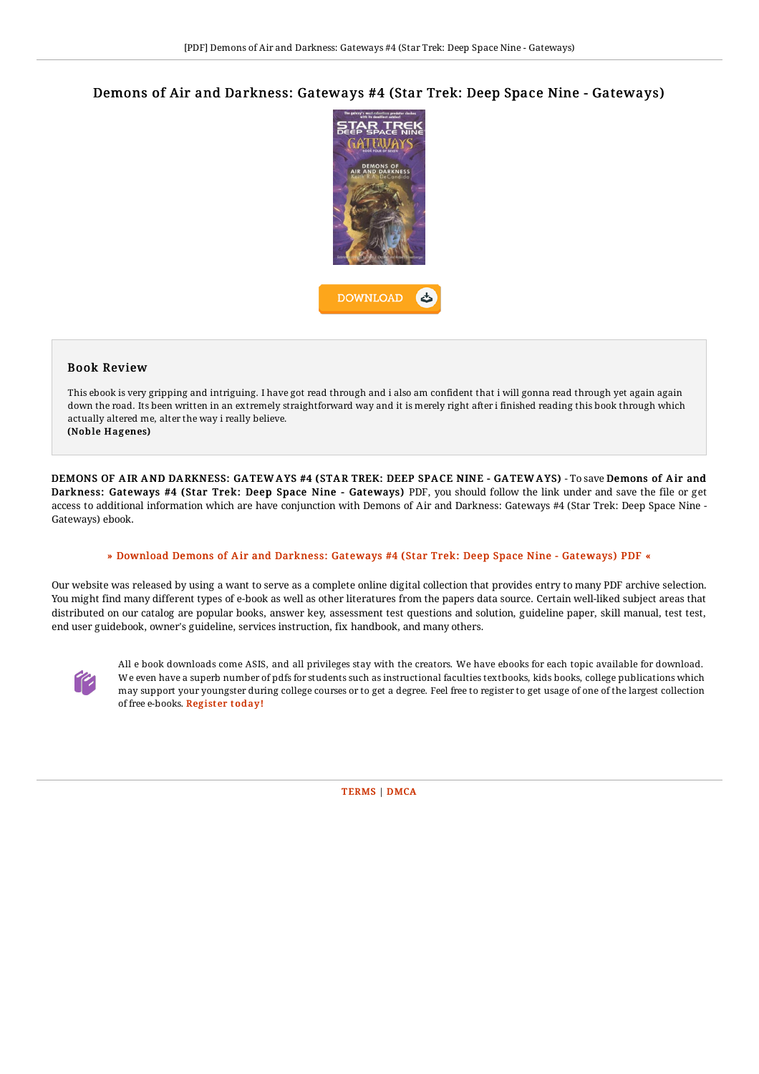# Demons of Air and Darkness: Gateways #4 (Star Trek: Deep Space Nine - Gateways)



## Book Review

This ebook is very gripping and intriguing. I have got read through and i also am confident that i will gonna read through yet again again down the road. Its been written in an extremely straightforward way and it is merely right after i finished reading this book through which actually altered me, alter the way i really believe.

(Noble Hagenes)

DEMONS OF AIR AND DARKNESS: GATEW AYS #4 (STAR TREK: DEEP SPACE NINE - GATEW AYS) - To save Demons of Air and Darkness: Gateways #4 (Star Trek: Deep Space Nine - Gateways) PDF, you should follow the link under and save the file or get access to additional information which are have conjunction with Demons of Air and Darkness: Gateways #4 (Star Trek: Deep Space Nine - Gateways) ebook.

#### » Download Demons of Air and Darkness: Gateways #4 (Star Trek: Deep Space Nine - [Gateways\)](http://techno-pub.tech/demons-of-air-and-darkness-gateways-4-star-trek-.html) PDF «

Our website was released by using a want to serve as a complete online digital collection that provides entry to many PDF archive selection. You might find many different types of e-book as well as other literatures from the papers data source. Certain well-liked subject areas that distributed on our catalog are popular books, answer key, assessment test questions and solution, guideline paper, skill manual, test test, end user guidebook, owner's guideline, services instruction, fix handbook, and many others.



All e book downloads come ASIS, and all privileges stay with the creators. We have ebooks for each topic available for download. We even have a superb number of pdfs for students such as instructional faculties textbooks, kids books, college publications which may support your youngster during college courses or to get a degree. Feel free to register to get usage of one of the largest collection of free e-books. [Regist](http://techno-pub.tech/demons-of-air-and-darkness-gateways-4-star-trek-.html)er today!